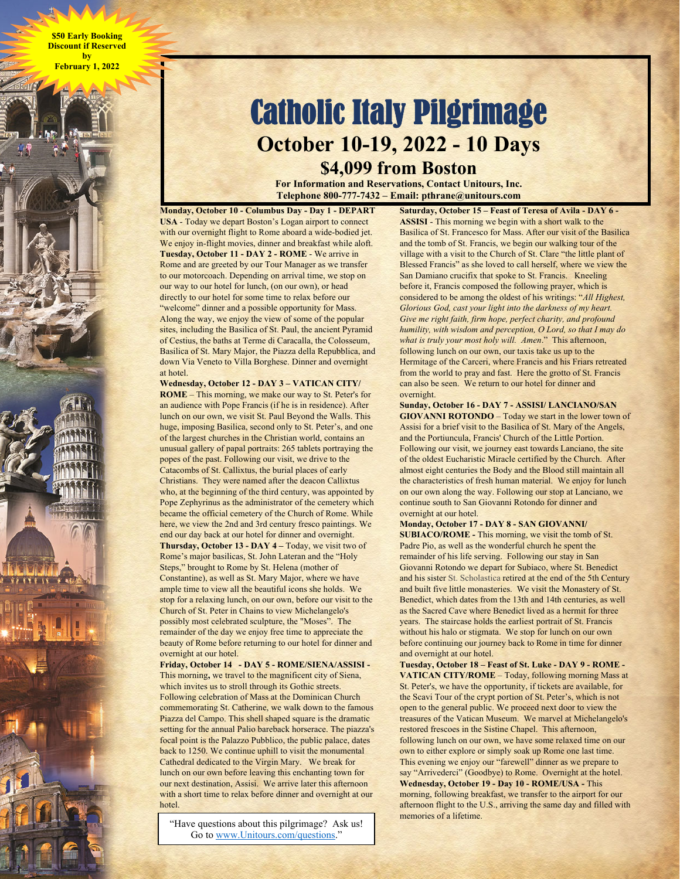**\$50 Early Booking Discount if Reserved by February 1, 2022** 

## Catholic Italy Pilgrimage **October 10-19, 2022 - 10 Days**

**\$4,099 from Boston** 

**For Information and Reservations, Contact Unitours, Inc. Telephone 800-777-7432 – Email: pthrane@unitours.com** 

**Monday, October 10 - Columbus Day - Day 1 - DEPART USA** - Today we depart Boston's Logan airport to connect with our overnight flight to Rome aboard a wide-bodied jet. We enjoy in-flight movies, dinner and breakfast while aloft. **Tuesday, October 11 - DAY 2 - ROME** - We arrive in Rome and are greeted by our Tour Manager as we transfer to our motorcoach. Depending on arrival time, we stop on our way to our hotel for lunch, (on our own), or head directly to our hotel for some time to relax before our "welcome" dinner and a possible opportunity for Mass. Along the way, we enjoy the view of some of the popular sites, including the Basilica of St. Paul, the ancient Pyramid of Cestius, the baths at Terme di Caracalla, the Colosseum, Basilica of St. Mary Major, the Piazza della Repubblica, and down Via Veneto to Villa Borghese. Dinner and overnight at hotel.

**Wednesday, October 12 - DAY 3 – VATICAN CITY/ ROME** – This morning, we make our way to St. Peter's for an audience with Pope Francis (if he is in residence). After lunch on our own, we visit St. Paul Beyond the Walls. This huge, imposing Basilica, second only to St. Peter's, and one of the largest churches in the Christian world, contains an unusual gallery of papal portraits: 265 tablets portraying the popes of the past. Following our visit, we drive to the Catacombs of St. Callixtus, the burial places of early Christians. They were named after the deacon Callixtus who, at the beginning of the third century, was appointed by Pope Zephyrinus as the administrator of the cemetery which became the official cemetery of the Church of Rome. While here, we view the 2nd and 3rd century fresco paintings. We end our day back at our hotel for dinner and overnight. **Thursday, October 13 - DAY 4 –** Today, we visit two of Rome's major basilicas, St. John Lateran and the "Holy Steps," brought to Rome by St. Helena (mother of Constantine), as well as St. Mary Major, where we have ample time to view all the beautiful icons she holds. We stop for a relaxing lunch, on our own, before our visit to the Church of St. Peter in Chains to view Michelangelo's possibly most celebrated sculpture, the "Moses". The remainder of the day we enjoy free time to appreciate the beauty of Rome before returning to our hotel for dinner and overnight at our hotel.

**Friday, October 14 - DAY 5 - ROME/SIENA/ASSISI -**  This morning**,** we travel to the magnificent city of Siena, which invites us to stroll through its Gothic streets. Following celebration of Mass at the Dominican Church commemorating St. Catherine, we walk down to the famous Piazza del Campo. This shell shaped square is the dramatic setting for the annual Palio bareback horserace. The piazza's focal point is the Palazzo Pubblico, the public palace, dates back to 1250. We continue uphill to visit the monumental Cathedral dedicated to the Virgin Mary. We break for lunch on our own before leaving this enchanting town for our next destination, Assisi. We arrive later this afternoon with a short time to relax before dinner and overnight at our hotel.

"Have questions about this pilgrimage? Ask us! Go to www.Unitours.com/questions."

**Saturday, October 15 – Feast of Teresa of Avila - DAY 6 - ASSISI** - This morning we begin with a short walk to the Basilica of St. Francesco for Mass. After our visit of the Basilica and the tomb of St. Francis, we begin our walking tour of the village with a visit to the Church of St. Clare "the little plant of Blessed Francis" as she loved to call herself, where we view the San Damiano crucifix that spoke to St. Francis. Kneeling before it, Francis composed the following prayer, which is considered to be among the oldest of his writings: "*All Highest, Glorious God, cast your light into the darkness of my heart. Give me right faith, firm hope, perfect charity, and profound humility, with wisdom and perception, O Lord, so that I may do what is truly your most holy will. Amen*." This afternoon, following lunch on our own, our taxis take us up to the Hermitage of the Carceri, where Francis and his Friars retreated from the world to pray and fast. Here the grotto of St. Francis can also be seen. We return to our hotel for dinner and overnight.

**Sunday, October 16 - DAY 7 - ASSISI/ LANCIANO/SAN GIOVANNI ROTONDO** – Today we start in the lower town of Assisi for a brief visit to the Basilica of St. Mary of the Angels, and the Portiuncula, Francis' Church of the Little Portion. Following our visit, we journey east towards Lanciano, the site of the oldest Eucharistic Miracle certified by the Church. After almost eight centuries the Body and the Blood still maintain all the characteristics of fresh human material. We enjoy for lunch on our own along the way. Following our stop at Lanciano, we continue south to San Giovanni Rotondo for dinner and overnight at our hotel.

## **Monday, October 17 - DAY 8 - SAN GIOVANNI/**

**SUBIACO/ROME -** This morning, we visit the tomb of St. Padre Pio, as well as the wonderful church he spent the remainder of his life serving. Following our stay in San Giovanni Rotondo we depart for Subiaco, where St. Benedict and his sister St. Scholastica retired at the end of the 5th Century and built five little monasteries. We visit the Monastery of St. Benedict, which dates from the 13th and 14th centuries, as well as the Sacred Cave where Benedict lived as a hermit for three years. The staircase holds the earliest portrait of St. Francis without his halo or stigmata. We stop for lunch on our own before continuing our journey back to Rome in time for dinner and overnight at our hotel.

**Tuesday, October 18 – Feast of St. Luke - DAY 9 - ROME - VATICAN CITY/ROME** – Today, following morning Mass at St. Peter's, we have the opportunity, if tickets are available, for the Scavi Tour of the crypt portion of St. Peter's, which is not open to the general public. We proceed next door to view the treasures of the Vatican Museum. We marvel at Michelangelo's restored frescoes in the Sistine Chapel. This afternoon, following lunch on our own, we have some relaxed time on our own to either explore or simply soak up Rome one last time. This evening we enjoy our "farewell" dinner as we prepare to say "Arrivederci" (Goodbye) to Rome. Overnight at the hotel. Wednesday, October 19 - Day 10 - ROME/USA - This morning, following breakfast, we transfer to the airport for our afternoon flight to the U.S., arriving the same day and filled with memories of a lifetime.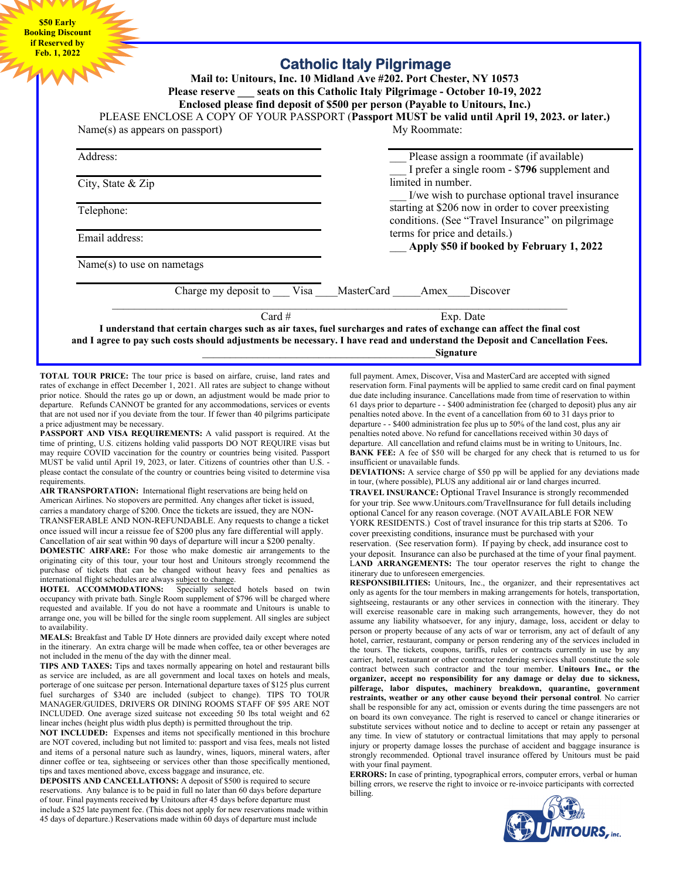**\$50 Early Booking Discount if Reserved by Feb. 1, 2022** 

| PLEASE ENCLOSE A COPY OF YOUR PASSPORT (Passport MUST be valid until April 19, 2023. or later.) |  |                                                                                                                                                                   |  | Enclosed please find deposit of \$500 per person (Payable to Unitours, Inc.) |            |
|-------------------------------------------------------------------------------------------------|--|-------------------------------------------------------------------------------------------------------------------------------------------------------------------|--|------------------------------------------------------------------------------|------------|
| $Name(s)$ as appears on passport)<br>Address:<br>City, State & Zip                              |  | My Roommate:                                                                                                                                                      |  |                                                                              |            |
|                                                                                                 |  | Please assign a roommate (if available)<br>I prefer a single room - \$796 supplement and<br>limited in number.<br>I/we wish to purchase optional travel insurance |  |                                                                              |            |
|                                                                                                 |  |                                                                                                                                                                   |  |                                                                              | Telephone: |
| Email address:                                                                                  |  | terms for price and details.)<br>Apply \$50 if booked by February 1, 2022                                                                                         |  |                                                                              |            |
| $Name(s)$ to use on nametags                                                                    |  |                                                                                                                                                                   |  |                                                                              |            |
| Charge my deposit to Visa MasterCard Amex                                                       |  |                                                                                                                                                                   |  | Discover                                                                     |            |
| Card $#$                                                                                        |  | Exp. Date                                                                                                                                                         |  |                                                                              |            |

**TOTAL TOUR PRICE:** The tour price is based on airfare, cruise, land rates and rates of exchange in effect December 1, 2021. All rates are subject to change without prior notice. Should the rates go up or down, an adjustment would be made prior to departure. Refunds CANNOT be granted for any accommodations, services or events that are not used nor if you deviate from the tour. If fewer than 40 pilgrims participate a price adjustment may be necessary.

**PASSPORT AND VISA REQUIREMENTS:** A valid passport is required. At the time of printing, U.S. citizens holding valid passports DO NOT REQUIRE visas but may require COVID vaccination for the country or countries being visited. Passport MUST be valid until April 19, 2023, or later. Citizens of countries other than U.S. please contact the consulate of the country or countries being visited to determine visa requirements.

**AIR TRANSPORTATION:** International flight reservations are being held on American Airlines. No stopovers are permitted. Any changes after ticket is issued, carries a mandatory charge of \$200. Once the tickets are issued, they are NON-TRANSFERABLE AND NON-REFUNDABLE. Any requests to change a ticket once issued will incur a reissue fee of \$200 plus any fare differential will apply. Cancellation of air seat within 90 days of departure will incur a \$200 penalty.

**DOMESTIC AIRFARE:** For those who make domestic air arrangements to the originating city of this tour, your tour host and Unitours strongly recommend the purchase of tickets that can be changed without heavy fees and penalties as international flight schedules are always subject to change.

**HOTEL ACCOMMODATIONS:** Specially selected hotels based on twin occupancy with private bath. Single Room supplement of \$796 will be charged where requested and available. If you do not have a roommate and Unitours is unable to arrange one, you will be billed for the single room supplement. All singles are subject to availability.

**MEALS:** Breakfast and Table D' Hote dinners are provided daily except where noted in the itinerary. An extra charge will be made when coffee, tea or other beverages are not included in the menu of the day with the dinner meal.

**TIPS AND TAXES:** Tips and taxes normally appearing on hotel and restaurant bills as service are included, as are all government and local taxes on hotels and meals, porterage of one suitcase per person. International departure taxes of \$125 plus current fuel surcharges of \$340 are included (subject to change). TIPS TO TOUR MANAGER/GUIDES, DRIVERS OR DINING ROOMS STAFF OF \$95 ARE NOT INCLUDED. One average sized suitcase not exceeding 50 lbs total weight and 62 linear inches (height plus width plus depth) is permitted throughout the trip.

**NOT INCLUDED:** Expenses and items not specifically mentioned in this brochure are NOT covered, including but not limited to: passport and visa fees, meals not listed and items of a personal nature such as laundry, wines, liquors, mineral waters, after dinner coffee or tea, sightseeing or services other than those specifically mentioned, tips and taxes mentioned above, excess baggage and insurance, etc.

**DEPOSITS AND CANCELLATIONS:** A deposit of \$500 is required to secure reservations. Any balance is to be paid in full no later than 60 days before departure of tour. Final payments received **by** Unitours after 45 days before departure must include a \$25 late payment fee. (This does not apply for new reservations made within 45 days of departure.) Reservations made within 60 days of departure must include

full payment. Amex, Discover, Visa and MasterCard are accepted with signed reservation form. Final payments will be applied to same credit card on final payment due date including insurance. Cancellations made from time of reservation to within 61 days prior to departure - - \$400 administration fee (charged to deposit) plus any air penalties noted above. In the event of a cancellation from 60 to 31 days prior to departure - - \$400 administration fee plus up to 50% of the land cost, plus any air penalties noted above. No refund for cancellations received within 30 days of departure. All cancellation and refund claims must be in writing to Unitours, Inc. **BANK FEE:** A fee of \$50 will be charged for any check that is returned to us for insufficient or unavailable funds.

**DEVIATIONS:** A service charge of \$50 pp will be applied for any deviations made in tour, (where possible), PLUS any additional air or land charges incurred.

**TRAVEL INSURANCE:** Optional Travel Insurance is strongly recommended for your trip. See www.Unitours.com/TravelInsurance for full details including optional Cancel for any reason coverage. (NOT AVAILABLE FOR NEW YORK RESIDENTS.) Cost of travel insurance for this trip starts at \$206. To cover preexisting conditions, insurance must be purchased with your

reservation. (See reservation form). If paying by check, add insurance cost to your deposit. Insurance can also be purchased at the time of your final payment. L**AND ARRANGEMENTS:** The tour operator reserves the right to change the itinerary due to unforeseen emergencies.

**RESPONSIBILITIES:** Unitours, Inc., the organizer, and their representatives act only as agents for the tour members in making arrangements for hotels, transportation, sightseeing, restaurants or any other services in connection with the itinerary. They will exercise reasonable care in making such arrangements, however, they do not assume any liability whatsoever, for any injury, damage, loss, accident or delay to person or property because of any acts of war or terrorism, any act of default of any hotel, carrier, restaurant, company or person rendering any of the services included in the tours. The tickets, coupons, tariffs, rules or contracts currently in use by any carrier, hotel, restaurant or other contractor rendering services shall constitute the sole contract between such contractor and the tour member. **Unitours Inc., or the organizer, accept no responsibility for any damage or delay due to sickness, pilferage, labor disputes, machinery breakdown, quarantine, government restraints, weather or any other cause beyond their personal control**. No carrier shall be responsible for any act, omission or events during the time passengers are not on board its own conveyance. The right is reserved to cancel or change itineraries or substitute services without notice and to decline to accept or retain any passenger at any time. In view of statutory or contractual limitations that may apply to personal injury or property damage losses the purchase of accident and baggage insurance is strongly recommended. Optional travel insurance offered by Unitours must be paid with your final payment.

**ERRORS:** In case of printing, typographical errors, computer errors, verbal or human billing errors, we reserve the right to invoice or re-invoice participants with corrected billing.